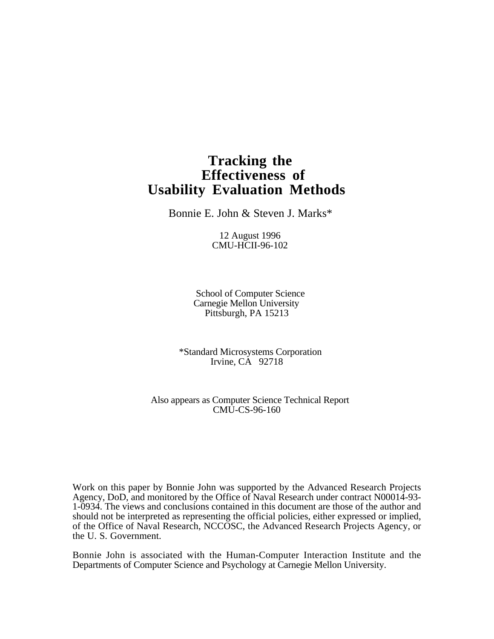# **Tracking the Effectiveness of Usability Evaluation Methods**

Bonnie E. John & Steven J. Marks\*

12 August 1996 CMU-HCII-96-102

School of Computer Science Carnegie Mellon University Pittsburgh, PA 15213

\*Standard Microsystems Corporation Irvine, CA 92718

Also appears as Computer Science Technical Report CMU-CS-96-160

Work on this paper by Bonnie John was supported by the Advanced Research Projects Agency, DoD, and monitored by the Office of Naval Research under contract N00014-93- 1-0934. The views and conclusions contained in this document are those of the author and should not be interpreted as representing the official policies, either expressed or implied, of the Office of Naval Research, NCCOSC, the Advanced Research Projects Agency, or the U. S. Government.

Bonnie John is associated with the Human-Computer Interaction Institute and the Departments of Computer Science and Psychology at Carnegie Mellon University.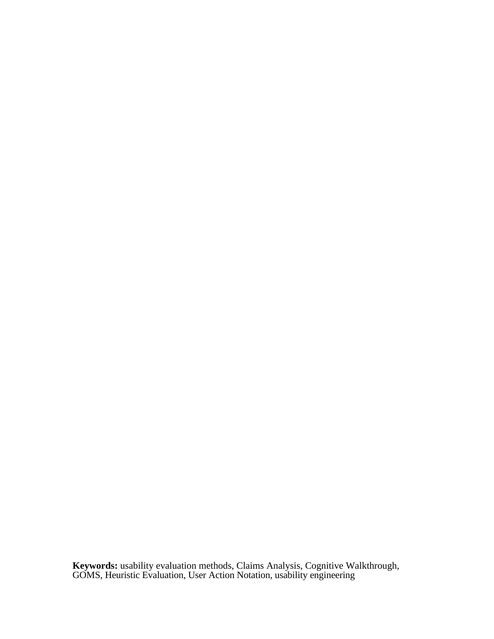**Keywords:** usability evaluation methods, Claims Analysis, Cognitive Walkthrough, GOMS, Heuristic Evaluation, User Action Notation, usability engineering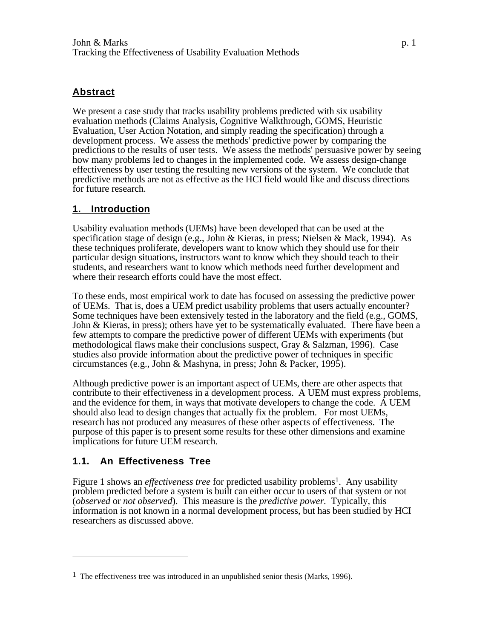#### **Abstract**

We present a case study that tracks usability problems predicted with six usability evaluation methods (Claims Analysis, Cognitive Walkthrough, GOMS, Heuristic Evaluation, User Action Notation, and simply reading the specification) through a development process. We assess the methods' predictive power by comparing the predictions to the results of user tests. We assess the methods' persuasive power by seeing how many problems led to changes in the implemented code. We assess design-change effectiveness by user testing the resulting new versions of the system. We conclude that predictive methods are not as effective as the HCI field would like and discuss directions for future research.

#### **1. Introduction**

Usability evaluation methods (UEMs) have been developed that can be used at the specification stage of design (e.g., John & Kieras, in press; Nielsen & Mack, 1994). As these techniques proliferate, developers want to know which they should use for their particular design situations, instructors want to know which they should teach to their students, and researchers want to know which methods need further development and where their research efforts could have the most effect.

To these ends, most empirical work to date has focused on assessing the predictive power of UEMs. That is, does a UEM predict usability problems that users actually encounter? Some techniques have been extensively tested in the laboratory and the field (e.g., GOMS, John & Kieras, in press); others have yet to be systematically evaluated. There have been a few attempts to compare the predictive power of different UEMs with experiments (but methodological flaws make their conclusions suspect, Gray & Salzman, 1996). Case studies also provide information about the predictive power of techniques in specific circumstances (e.g., John & Mashyna, in press; John & Packer, 1995).

Although predictive power is an important aspect of UEMs, there are other aspects that contribute to their effectiveness in a development process. A UEM must express problems, and the evidence for them, in ways that motivate developers to change the code. A UEM should also lead to design changes that actually fix the problem. For most UEMs, research has not produced any measures of these other aspects of effectiveness. The purpose of this paper is to present some results for these other dimensions and examine implications for future UEM research.

#### **1.1. An Effectiveness Tree**

Figure 1 shows an *effectiveness tree* for predicted usability problems<sup>1</sup>. Any usability problem predicted before a system is built can either occur to users of that system or not (*observed* or *not observed*). This measure is the *predictive power.* Typically, this information is not known in a normal development process, but has been studied by HCI researchers as discussed above.

<sup>1</sup> The effectiveness tree was introduced in an unpublished senior thesis (Marks, 1996).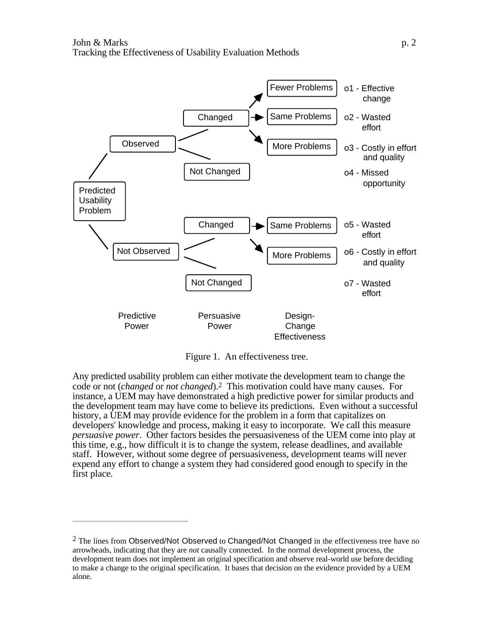

Figure 1. An effectiveness tree.

Any predicted usability problem can either motivate the development team to change the code or not (*changed* or *not changed*).2 This motivation could have many causes. For instance, a UEM may have demonstrated a high predictive power for similar products and the development team may have come to believe its predictions. Even without a successful history, a UEM may provide evidence for the problem in a form that capitalizes on developers' knowledge and process, making it easy to incorporate. We call this measure *persuasive power*. Other factors besides the persuasiveness of the UEM come into play at this time, e.g., how difficult it is to change the system, release deadlines, and available staff. However, without some degree of persuasiveness, development teams will never expend any effort to change a system they had considered good enough to specify in the first place.

 $<sup>2</sup>$  The lines from Observed/Not Observed to Changed/Not Changed in the effectiveness tree have no</sup> arrowheads, indicating that they are *not* causally connected. In the normal development process, the development team does not implement an original specification and observe real-world use before deciding to make a change to the original specification. It bases that decision on the evidence provided by a UEM alone.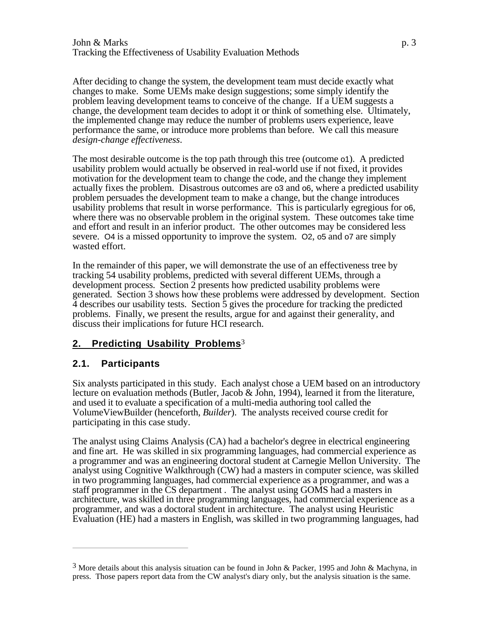After deciding to change the system, the development team must decide exactly what changes to make. Some UEMs make design suggestions; some simply identify the problem leaving development teams to conceive of the change. If a UEM suggests a change, the development team decides to adopt it or think of something else. Ultimately, the implemented change may reduce the number of problems users experience, leave performance the same, or introduce more problems than before. We call this measure *design-change effectiveness*.

The most desirable outcome is the top path through this tree (outcome o1). A predicted usability problem would actually be observed in real-world use if not fixed, it provides motivation for the development team to change the code, and the change they implement actually fixes the problem. Disastrous outcomes are o3 and o6, where a predicted usability problem persuades the development team to make a change, but the change introduces usability problems that result in worse performance. This is particularly egregious for o6, where there was no observable problem in the original system. These outcomes take time and effort and result in an inferior product. The other outcomes may be considered less severe. O4 is a missed opportunity to improve the system. O2, o5 and o7 are simply wasted effort.

In the remainder of this paper, we will demonstrate the use of an effectiveness tree by tracking 54 usability problems, predicted with several different UEMs, through a development process. Section  $\overline{2}$  presents how predicted usability problems were generated. Section 3 shows how these problems were addressed by development. Section 4 describes our usability tests. Section 5 gives the procedure for tracking the predicted problems. Finally, we present the results, argue for and against their generality, and discuss their implications for future HCI research.

# **2. Predicting Usability Problems**3

# **2.1. Participants**

Six analysts participated in this study. Each analyst chose a UEM based on an introductory lecture on evaluation methods (Butler, Jacob & John, 1994), learned it from the literature, and used it to evaluate a specification of a multi-media authoring tool called the VolumeViewBuilder (henceforth, *Builder*). The analysts received course credit for participating in this case study.

The analyst using Claims Analysis (CA) had a bachelor's degree in electrical engineering and fine art. He was skilled in six programming languages, had commercial experience as a programmer and was an engineering doctoral student at Carnegie Mellon University. The analyst using Cognitive Walkthrough (CW) had a masters in computer science, was skilled in two programming languages, had commercial experience as a programmer, and was a staff programmer in the CS department . The analyst using GOMS had a masters in architecture, was skilled in three programming languages, had commercial experience as a programmer, and was a doctoral student in architecture. The analyst using Heuristic Evaluation (HE) had a masters in English, was skilled in two programming languages, had

<sup>3</sup> More details about this analysis situation can be found in John & Packer, 1995 and John & Machyna, in press. Those papers report data from the CW analyst's diary only, but the analysis situation is the same.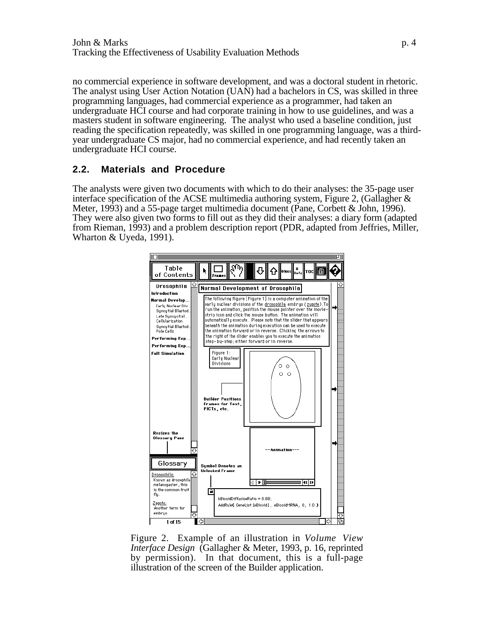no commercial experience in software development, and was a doctoral student in rhetoric. The analyst using User Action Notation (UAN) had a bachelors in CS, was skilled in three programming languages, had commercial experience as a programmer, had taken an undergraduate HCI course and had corporate training in how to use guidelines, and was a masters student in software engineering. The analyst who used a baseline condition, just reading the specification repeatedly, was skilled in one programming language, was a thirdyear undergraduate CS major, had no commercial experience, and had recently taken an undergraduate HCI course.

#### **2.2. Materials and Procedure**

The analysts were given two documents with which to do their analyses: the 35-page user interface specification of the ACSE multimedia authoring system, Figure 2, (Gallagher  $\&$ Meter, 1993) and a 55-page target multimedia document (Pane, Corbett & John, 1996). They were also given two forms to fill out as they did their analyses: a diary form (adapted from Rieman, 1993) and a problem description report (PDR, adapted from Jeffries, Miller, Wharton & Uyeda, 1991).



Figure 2. Example of an illustration in *Volume View Interface Design* (Gallagher & Meter, 1993, p. 16, reprinted by permission). In that document, this is a full-page illustration of the screen of the Builder application.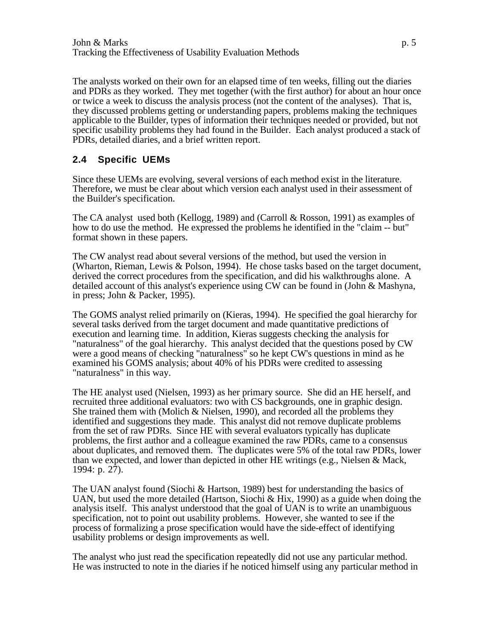The analysts worked on their own for an elapsed time of ten weeks, filling out the diaries and PDRs as they worked. They met together (with the first author) for about an hour once or twice a week to discuss the analysis process (not the content of the analyses). That is, they discussed problems getting or understanding papers, problems making the techniques applicable to the Builder, types of information their techniques needed or provided, but not specific usability problems they had found in the Builder. Each analyst produced a stack of PDRs, detailed diaries, and a brief written report.

### **2.4 Specific UEMs**

Since these UEMs are evolving, several versions of each method exist in the literature. Therefore, we must be clear about which version each analyst used in their assessment of the Builder's specification.

The CA analyst used both (Kellogg, 1989) and (Carroll & Rosson, 1991) as examples of how to do use the method. He expressed the problems he identified in the "claim -- but" format shown in these papers.

The CW analyst read about several versions of the method, but used the version in (Wharton, Rieman, Lewis & Polson, 1994). He chose tasks based on the target document, derived the correct procedures from the specification, and did his walkthroughs alone. A detailed account of this analyst's experience using CW can be found in (John & Mashyna, in press; John & Packer, 1995).

The GOMS analyst relied primarily on (Kieras, 1994). He specified the goal hierarchy for several tasks derived from the target document and made quantitative predictions of execution and learning time. In addition, Kieras suggests checking the analysis for "naturalness" of the goal hierarchy. This analyst decided that the questions posed by CW were a good means of checking "naturalness" so he kept CW's questions in mind as he examined his GOMS analysis; about 40% of his PDRs were credited to assessing "naturalness" in this way.

The HE analyst used (Nielsen, 1993) as her primary source. She did an HE herself, and recruited three additional evaluators: two with CS backgrounds, one in graphic design. She trained them with (Molich  $\&$  Nielsen, 1990), and recorded all the problems they identified and suggestions they made. This analyst did not remove duplicate problems from the set of raw PDRs. Since HE with several evaluators typically has duplicate problems, the first author and a colleague examined the raw PDRs, came to a consensus about duplicates, and removed them. The duplicates were 5% of the total raw PDRs, lower than we expected, and lower than depicted in other HE writings (e.g., Nielsen & Mack, 1994: p. 27).

The UAN analyst found (Siochi & Hartson, 1989) best for understanding the basics of UAN, but used the more detailed (Hartson, Siochi & Hix, 1990) as a guide when doing the analysis itself. This analyst understood that the goal of UAN is to write an unambiguous specification, not to point out usability problems. However, she wanted to see if the process of formalizing a prose specification would have the side-effect of identifying usability problems or design improvements as well.

The analyst who just read the specification repeatedly did not use any particular method. He was instructed to note in the diaries if he noticed himself using any particular method in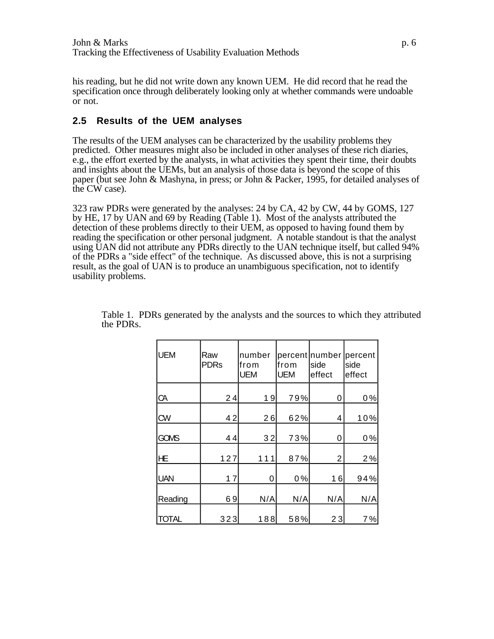his reading, but he did not write down any known UEM. He did record that he read the specification once through deliberately looking only at whether commands were undoable or not.

### **2.5 Results of the UEM analyses**

The results of the UEM analyses can be characterized by the usability problems they predicted. Other measures might also be included in other analyses of these rich diaries, e.g., the effort exerted by the analysts, in what activities they spent their time, their doubts and insights about the UEMs, but an analysis of those data is beyond the scope of this paper (but see John & Mashyna, in press; or John & Packer, 1995, for detailed analyses of the CW case).

323 raw PDRs were generated by the analyses: 24 by CA, 42 by CW, 44 by GOMS, 127 by HE, 17 by UAN and 69 by Reading (Table 1). Most of the analysts attributed the detection of these problems directly to their UEM, as opposed to having found them by reading the specification or other personal judgment. A notable standout is that the analyst using UAN did not attribute any PDRs directly to the UAN technique itself, but called 94% of the PDRs a "side effect" of the technique. As discussed above, this is not a surprising result, as the goal of UAN is to produce an unambiguous specification, not to identify usability problems.

| <b>UEM</b>   | Raw<br><b>PDRs</b> | number<br> from<br><b>UEM</b> | lfrom<br><b>UEM</b> | percent number <br>side<br>effect | percent<br>side<br>effect |
|--------------|--------------------|-------------------------------|---------------------|-----------------------------------|---------------------------|
| CA           | 24                 | 19                            | 79%                 | 0                                 | 0%                        |
| CW           | 42                 | 26                            | 62%                 | 4                                 | 10%                       |
| GOMS         | 44                 | 32                            | 73%                 | 0                                 | 0%                        |
| <b>HE</b>    | 127                | 111                           | 87%                 | 2                                 | 2%                        |
| <b>UAN</b>   | 17                 | 0                             | 0%                  | 16                                | 94%                       |
| Reading      | 69                 | N/A                           | N/A                 | N/A                               | N/A                       |
| <b>TOTAL</b> | 323                | 188                           | 58%                 | 23                                | 7%                        |

Table 1. PDRs generated by the analysts and the sources to which they attributed the PDRs.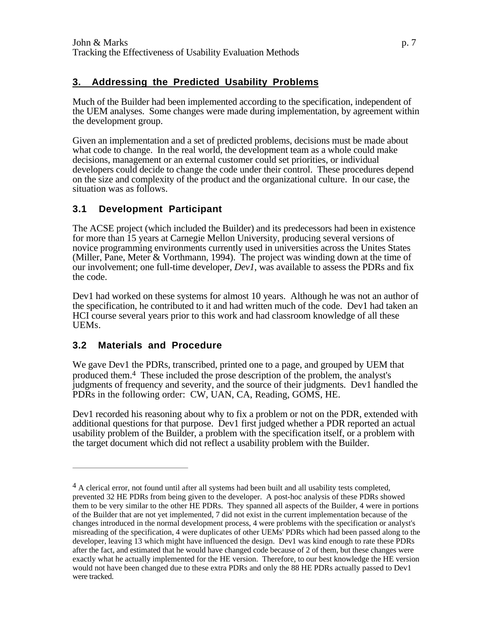# **3. Addressing the Predicted Usability Problems**

Much of the Builder had been implemented according to the specification, independent of the UEM analyses. Some changes were made during implementation, by agreement within the development group.

Given an implementation and a set of predicted problems, decisions must be made about what code to change. In the real world, the development team as a whole could make decisions, management or an external customer could set priorities, or individual developers could decide to change the code under their control. These procedures depend on the size and complexity of the product and the organizational culture. In our case, the situation was as follows.

# **3.1 Development Participant**

The ACSE project (which included the Builder) and its predecessors had been in existence for more than 15 years at Carnegie Mellon University, producing several versions of novice programming environments currently used in universities across the Unites States (Miller, Pane, Meter & Vorthmann, 1994). The project was winding down at the time of our involvement; one full-time developer, *Dev1*, was available to assess the PDRs and fix the code.

Dev1 had worked on these systems for almost 10 years. Although he was not an author of the specification, he contributed to it and had written much of the code. Dev1 had taken an HCI course several years prior to this work and had classroom knowledge of all these UEMs.

# **3.2 Materials and Procedure**

We gave Dev1 the PDRs, transcribed, printed one to a page, and grouped by UEM that produced them.4 These included the prose description of the problem, the analyst's judgments of frequency and severity, and the source of their judgments. Dev1 handled the PDRs in the following order: CW, UAN, CA, Reading, GOMS, HE.

Dev1 recorded his reasoning about why to fix a problem or not on the PDR, extended with additional questions for that purpose. Dev1 first judged whether a PDR reported an actual usability problem of the Builder, a problem with the specification itself, or a problem with the target document which did not reflect a usability problem with the Builder.

 $4$  A clerical error, not found until after all systems had been built and all usability tests completed, prevented 32 HE PDRs from being given to the developer. A post-hoc analysis of these PDRs showed them to be very similar to the other HE PDRs. They spanned all aspects of the Builder, 4 were in portions of the Builder that are not yet implemented, 7 did not exist in the current implementation because of the changes introduced in the normal development process, 4 were problems with the specification or analyst's misreading of the specification, 4 were duplicates of other UEMs' PDRs which had been passed along to the developer, leaving 13 which might have influenced the design. Dev1 was kind enough to rate these PDRs after the fact, and estimated that he would have changed code because of 2 of them, but these changes were exactly what he actually implemented for the HE version. Therefore, to our best knowledge the HE version would not have been changed due to these extra PDRs and only the 88 HE PDRs actually passed to Dev1 were tracked.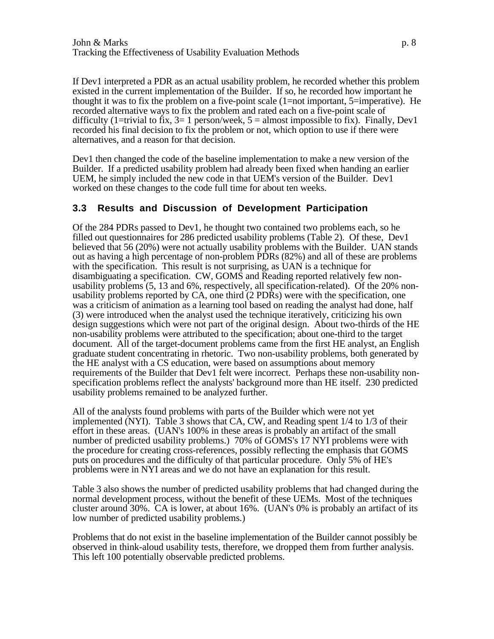If Dev1 interpreted a PDR as an actual usability problem, he recorded whether this problem existed in the current implementation of the Builder. If so, he recorded how important he thought it was to fix the problem on a five-point scale  $(1=not$  important, 5=imperative). He recorded alternative ways to fix the problem and rated each on a five-point scale of difficulty (1=trivial to fix,  $3=1$  person/week,  $5=$  almost impossible to fix). Finally, Dev1 recorded his final decision to fix the problem or not, which option to use if there were alternatives, and a reason for that decision.

Dev1 then changed the code of the baseline implementation to make a new version of the Builder. If a predicted usability problem had already been fixed when handing an earlier UEM, he simply included the new code in that UEM's version of the Builder. Dev1 worked on these changes to the code full time for about ten weeks.

#### **3.3 Results and Discussion of Development Participation**

Of the 284 PDRs passed to Dev1, he thought two contained two problems each, so he filled out questionnaires for 286 predicted usability problems (Table 2). Of these, Dev1 believed that 56 (20%) were not actually usability problems with the Builder. UAN stands out as having a high percentage of non-problem PDRs (82%) and all of these are problems with the specification. This result is not surprising, as UAN is a technique for disambiguating a specification. CW, GOMS and Reading reported relatively few nonusability problems (5, 13 and 6%, respectively, all specification-related). Of the 20% nonusability problems reported by CA, one third (2 PDRs) were with the specification, one was a criticism of animation as a learning tool based on reading the analyst had done, half (3) were introduced when the analyst used the technique iteratively, criticizing his own design suggestions which were not part of the original design. About two-thirds of the HE non-usability problems were attributed to the specification; about one-third to the target document. All of the target-document problems came from the first HE analyst, an English graduate student concentrating in rhetoric. Two non-usability problems, both generated by the HE analyst with a CS education, were based on assumptions about memory requirements of the Builder that Dev1 felt were incorrect. Perhaps these non-usability nonspecification problems reflect the analysts' background more than HE itself. 230 predicted usability problems remained to be analyzed further.

All of the analysts found problems with parts of the Builder which were not yet implemented (NYI). Table 3 shows that CA, CW, and Reading spent 1/4 to 1/3 of their effort in these areas. (UAN's 100% in these areas is probably an artifact of the small number of predicted usability problems.) 70% of GOMS's 17 NYI problems were with the procedure for creating cross-references, possibly reflecting the emphasis that GOMS puts on procedures and the difficulty of that particular procedure. Only 5% of HE's problems were in NYI areas and we do not have an explanation for this result.

Table 3 also shows the number of predicted usability problems that had changed during the normal development process, without the benefit of these UEMs. Most of the techniques cluster around 30%. CA is lower, at about 16%. (UAN's 0% is probably an artifact of its low number of predicted usability problems.)

Problems that do not exist in the baseline implementation of the Builder cannot possibly be observed in think-aloud usability tests, therefore, we dropped them from further analysis. This left 100 potentially observable predicted problems.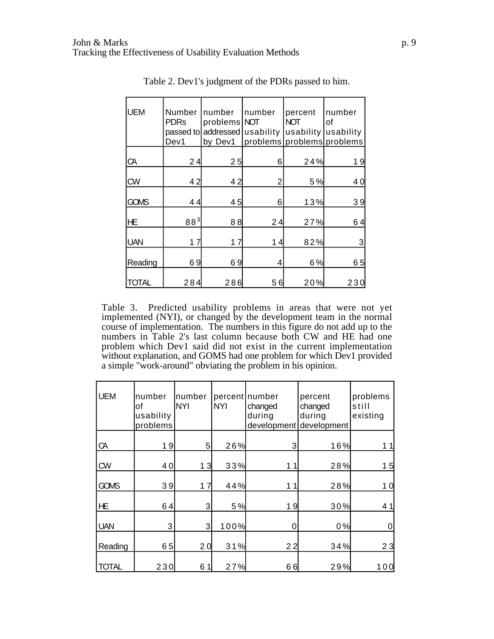| <b>UEM</b> | Number<br><b>PDRs</b><br>Dev1 | number<br>problems NOT<br>passed to addressed usability<br>by Dev1 | number | percent<br><b>NOT</b><br>usability | number<br>οf<br>usability<br>problems problems problems |
|------------|-------------------------------|--------------------------------------------------------------------|--------|------------------------------------|---------------------------------------------------------|
| CA         | 24                            | 25                                                                 | 6      | 24%                                | 19                                                      |
| <b>CW</b>  | 42                            | 42                                                                 | 2      | 5%                                 | 40                                                      |
| GOMS       | 44                            | 45                                                                 | 6      | 13%                                | 39                                                      |
| <b>HE</b>  | $88^{3}$                      | 88                                                                 | 24     | 27%                                | 64                                                      |
| <b>UAN</b> | 17                            | 17                                                                 | 14     | 82%                                | 3                                                       |
| Reading    | 69                            | 69                                                                 | 4      | 6%                                 | 65                                                      |
| TOTAL      | 284                           | 286                                                                | 56     | 20%                                | 23                                                      |

Table 2. Dev1's judgment of the PDRs passed to him.

Table 3. Predicted usability problems in areas that were not yet implemented (NYI), or changed by the development team in the normal course of implementation. The numbers in this figure do not add up to the numbers in Table 2's last column because both CW and HE had one problem which Dev1 said did not exist in the current implementation without explanation, and GOMS had one problem for which Dev1 provided a simple "work-around" obviating the problem in his opinion.

| <b>UEM</b>   | number<br>lof<br>usability<br>problems | number<br><b>NYI</b> | <b>NYI</b> | percent number<br>changed<br>during<br>development | percent<br>changed<br>during<br>development | problems<br>still<br>existing |
|--------------|----------------------------------------|----------------------|------------|----------------------------------------------------|---------------------------------------------|-------------------------------|
| CA           | 19                                     | 5 <sup>1</sup>       | 26%        | 3                                                  | 16%                                         | 11                            |
| <b>CW</b>    | 40                                     | 13                   | 33%        | 11                                                 | 28%                                         | 15                            |
| GOMS         | 39                                     | 17                   | 44%        | 11                                                 | 28%                                         | 10                            |
| <b>HE</b>    | 64                                     | 3                    | 5%         | 19                                                 | 30%                                         | 41                            |
| <b>UAN</b>   | 3                                      | 3                    | 100%       | 0                                                  | 0%                                          |                               |
| Reading      | 65                                     | 20                   | 31%        | 22                                                 | 34%                                         | 23                            |
| <b>TOTAL</b> | 230                                    | 61                   | 27%        | 66                                                 | 29%                                         | 100                           |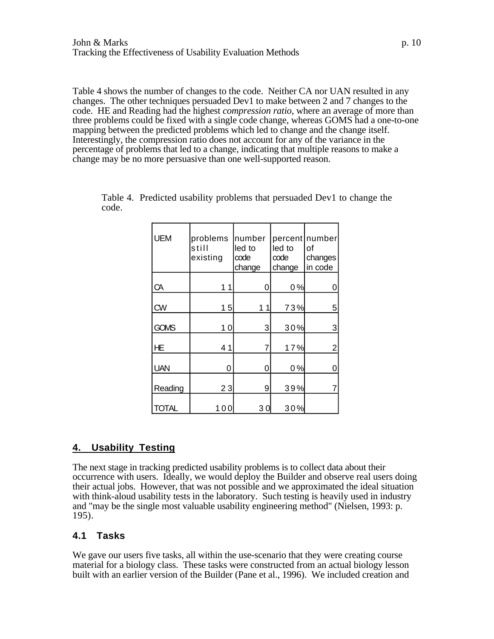Table 4 shows the number of changes to the code. Neither CA nor UAN resulted in any changes. The other techniques persuaded Dev1 to make between 2 and 7 changes to the code. HE and Reading had the highest *compression ratio*, where an average of more than three problems could be fixed with a single code change, whereas GOMS had a one-to-one mapping between the predicted problems which led to change and the change itself. Interestingly, the compression ratio does not account for any of the variance in the percentage of problems that led to a change, indicating that multiple reasons to make a change may be no more persuasive than one well-supported reason.

| <b>UEM</b>   | problems<br>still<br>existing | number<br>led to<br>code<br>change | led to<br>code<br>change | percent   number<br>of<br>changes<br>in code |
|--------------|-------------------------------|------------------------------------|--------------------------|----------------------------------------------|
| CA           | 1                             | 0                                  | 0%                       | 0                                            |
| <b>CW</b>    | 15                            | 1.                                 | 73%                      | 5                                            |
| GOMS         | 10                            | 3                                  | 30%                      | $\ensuremath{\mathsf{3}}$                    |
| <b>HE</b>    | 41                            | 7                                  | 17%                      | $\overline{2}$                               |
| <b>UAN</b>   | 0                             | 0                                  | 0%                       | 0                                            |
| Reading      | 23                            | 9                                  | 39%                      | 7                                            |
| <b>TOTAL</b> | 100                           | 30                                 | 30%                      |                                              |

|       |  |  |  | Table 4. Predicted usability problems that persuaded Dev1 to change the |  |
|-------|--|--|--|-------------------------------------------------------------------------|--|
| code. |  |  |  |                                                                         |  |

# **4. Usability Testing**

The next stage in tracking predicted usability problems is to collect data about their occurrence with users. Ideally, we would deploy the Builder and observe real users doing their actual jobs. However, that was not possible and we approximated the ideal situation with think-aloud usability tests in the laboratory. Such testing is heavily used in industry and "may be the single most valuable usability engineering method" (Nielsen, 1993: p. 195).

# **4.1 Tasks**

We gave our users five tasks, all within the use-scenario that they were creating course material for a biology class. These tasks were constructed from an actual biology lesson built with an earlier version of the Builder (Pane et al., 1996). We included creation and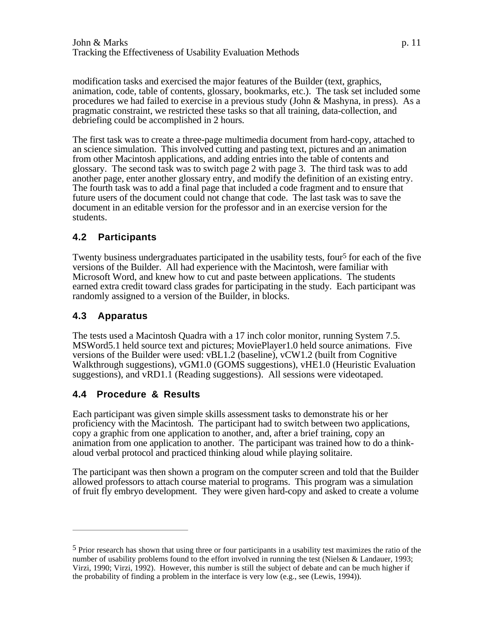modification tasks and exercised the major features of the Builder (text, graphics, animation, code, table of contents, glossary, bookmarks, etc.). The task set included some procedures we had failed to exercise in a previous study (John & Mashyna, in press). As a pragmatic constraint, we restricted these tasks so that all training, data-collection, and debriefing could be accomplished in 2 hours.

The first task was to create a three-page multimedia document from hard-copy, attached to an science simulation. This involved cutting and pasting text, pictures and an animation from other Macintosh applications, and adding entries into the table of contents and glossary. The second task was to switch page 2 with page 3. The third task was to add another page, enter another glossary entry, and modify the definition of an existing entry. The fourth task was to add a final page that included a code fragment and to ensure that future users of the document could not change that code. The last task was to save the document in an editable version for the professor and in an exercise version for the students.

# **4.2 Participants**

Twenty business undergraduates participated in the usability tests, four<sup>5</sup> for each of the five versions of the Builder. All had experience with the Macintosh, were familiar with Microsoft Word, and knew how to cut and paste between applications. The students earned extra credit toward class grades for participating in the study. Each participant was randomly assigned to a version of the Builder, in blocks.

# **4.3 Apparatus**

The tests used a Macintosh Quadra with a 17 inch color monitor, running System 7.5. MSWord5.1 held source text and pictures; MoviePlayer1.0 held source animations. Five versions of the Builder were used: vBL1.2 (baseline), vCW1.2 (built from Cognitive Walkthrough suggestions), vGM1.0 (GOMS suggestions), vHE1.0 (Heuristic Evaluation suggestions), and vRD1.1 (Reading suggestions). All sessions were videotaped.

# **4.4 Procedure & Results**

Each participant was given simple skills assessment tasks to demonstrate his or her proficiency with the Macintosh. The participant had to switch between two applications, copy a graphic from one application to another, and, after a brief training, copy an animation from one application to another. The participant was trained how to do a thinkaloud verbal protocol and practiced thinking aloud while playing solitaire.

The participant was then shown a program on the computer screen and told that the Builder allowed professors to attach course material to programs. This program was a simulation of fruit fly embryo development. They were given hard-copy and asked to create a volume

<sup>5</sup> Prior research has shown that using three or four participants in a usability test maximizes the ratio of the number of usability problems found to the effort involved in running the test (Nielsen & Landauer, 1993; Virzi, 1990; Virzi, 1992). However, this number is still the subject of debate and can be much higher if the probability of finding a problem in the interface is very low (e.g., see (Lewis, 1994)).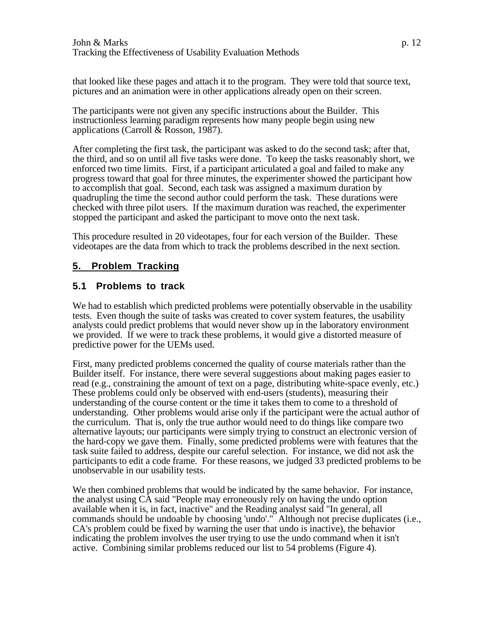that looked like these pages and attach it to the program. They were told that source text, pictures and an animation were in other applications already open on their screen.

The participants were not given any specific instructions about the Builder. This instructionless learning paradigm represents how many people begin using new applications (Carroll & Rosson, 1987).

After completing the first task, the participant was asked to do the second task; after that, the third, and so on until all five tasks were done. To keep the tasks reasonably short, we enforced two time limits. First, if a participant articulated a goal and failed to make any progress toward that goal for three minutes, the experimenter showed the participant how to accomplish that goal. Second, each task was assigned a maximum duration by quadrupling the time the second author could perform the task. These durations were checked with three pilot users. If the maximum duration was reached, the experimenter stopped the participant and asked the participant to move onto the next task.

This procedure resulted in 20 videotapes, four for each version of the Builder. These videotapes are the data from which to track the problems described in the next section.

# **5. Problem Tracking**

#### **5.1 Problems to track**

We had to establish which predicted problems were potentially observable in the usability tests. Even though the suite of tasks was created to cover system features, the usability analysts could predict problems that would never show up in the laboratory environment we provided. If we were to track these problems, it would give a distorted measure of predictive power for the UEMs used.

First, many predicted problems concerned the quality of course materials rather than the Builder itself. For instance, there were several suggestions about making pages easier to read (e.g., constraining the amount of text on a page, distributing white-space evenly, etc.) These problems could only be observed with end-users (students), measuring their understanding of the course content or the time it takes them to come to a threshold of understanding. Other problems would arise only if the participant were the actual author of the curriculum. That is, only the true author would need to do things like compare two alternative layouts; our participants were simply trying to construct an electronic version of the hard-copy we gave them. Finally, some predicted problems were with features that the task suite failed to address, despite our careful selection. For instance, we did not ask the participants to edit a code frame. For these reasons, we judged 33 predicted problems to be unobservable in our usability tests.

We then combined problems that would be indicated by the same behavior. For instance, the analyst using CA said "People may erroneously rely on having the undo option available when it is, in fact, inactive" and the Reading analyst said "In general, all commands should be undoable by choosing 'undo'." Although not precise duplicates (i.e., CA's problem could be fixed by warning the user that undo is inactive), the behavior indicating the problem involves the user trying to use the undo command when it isn't active. Combining similar problems reduced our list to 54 problems (Figure 4).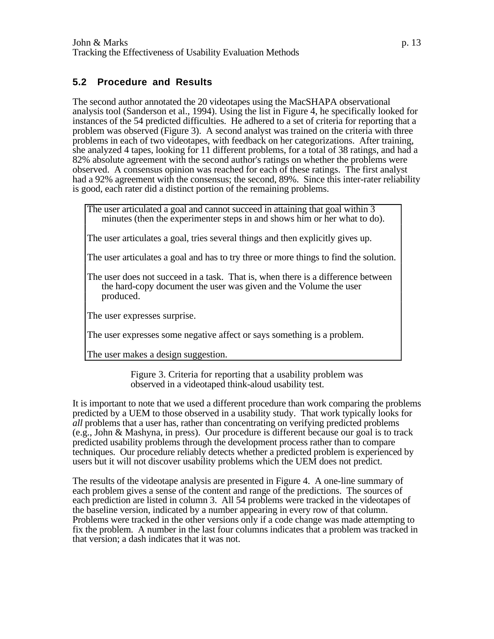### **5.2 Procedure and Results**

The second author annotated the 20 videotapes using the MacSHAPA observational analysis tool (Sanderson et al., 1994). Using the list in Figure 4, he specifically looked for instances of the 54 predicted difficulties. He adhered to a set of criteria for reporting that a problem was observed (Figure 3). A second analyst was trained on the criteria with three problems in each of two videotapes, with feedback on her categorizations. After training, she analyzed 4 tapes, looking for 11 different problems, for a total of 38 ratings, and had a 82% absolute agreement with the second author's ratings on whether the problems were observed. A consensus opinion was reached for each of these ratings. The first analyst had a 92% agreement with the consensus; the second, 89%. Since this inter-rater reliability is good, each rater did a distinct portion of the remaining problems.

The user articulated a goal and cannot succeed in attaining that goal within 3 minutes (then the experimenter steps in and shows him or her what to do).

The user articulates a goal, tries several things and then explicitly gives up.

The user articulates a goal and has to try three or more things to find the solution.

The user does not succeed in a task. That is, when there is a difference between the hard-copy document the user was given and the Volume the user produced.

The user expresses surprise.

The user expresses some negative affect or says something is a problem.

The user makes a design suggestion.

Figure 3. Criteria for reporting that a usability problem was observed in a videotaped think-aloud usability test.

It is important to note that we used a different procedure than work comparing the problems predicted by a UEM to those observed in a usability study. That work typically looks for *all* problems that a user has, rather than concentrating on verifying predicted problems (e.g., John & Mashyna, in press). Our procedure is different because our goal is to track predicted usability problems through the development process rather than to compare techniques. Our procedure reliably detects whether a predicted problem is experienced by users but it will not discover usability problems which the UEM does not predict.

The results of the videotape analysis are presented in Figure 4. A one-line summary of each problem gives a sense of the content and range of the predictions. The sources of each prediction are listed in column 3. All 54 problems were tracked in the videotapes of the baseline version, indicated by a number appearing in every row of that column. Problems were tracked in the other versions only if a code change was made attempting to fix the problem. A number in the last four columns indicates that a problem was tracked in that version; a dash indicates that it was not.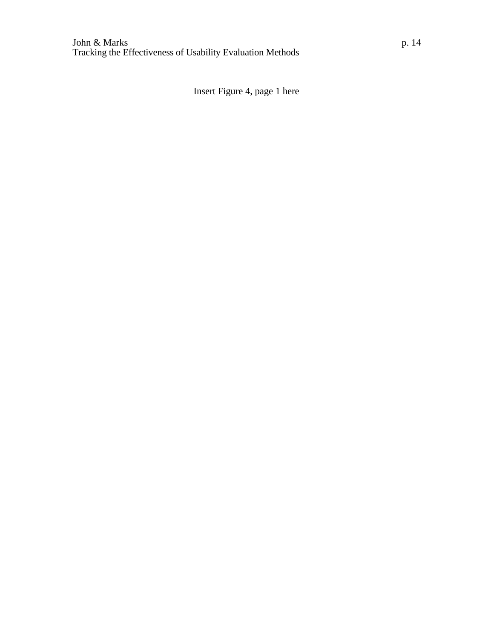Insert Figure 4, page 1 here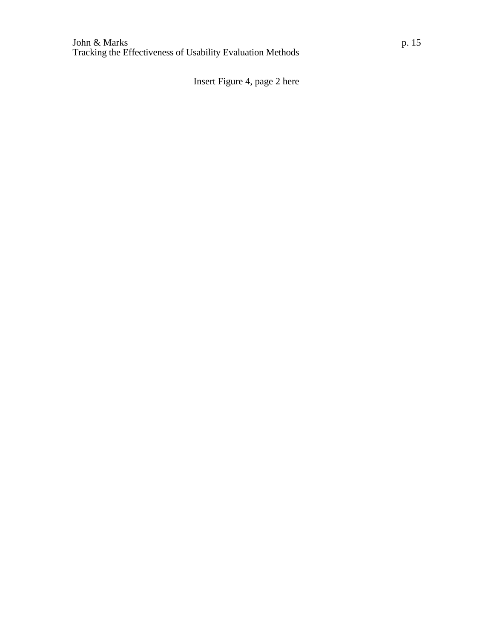Insert Figure 4, page 2 here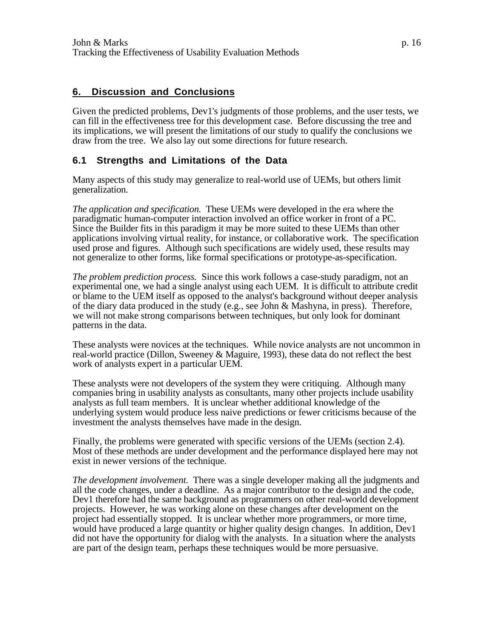#### **6. Discussion and Conclusions**

Given the predicted problems, Dev1's judgments of those problems, and the user tests, we can fill in the effectiveness tree for this development case. Before discussing the tree and its implications, we will present the limitations of our study to qualify the conclusions we draw from the tree. We also lay out some directions for future research.

#### **6.1 Strengths and Limitations of the Data**

Many aspects of this study may generalize to real-world use of UEMs, but others limit generalization.

*The application and specification.* These UEMs were developed in the era where the paradigmatic human-computer interaction involved an office worker in front of a PC. Since the Builder fits in this paradigm it may be more suited to these UEMs than other applications involving virtual reality, for instance, or collaborative work. The specification used prose and figures. Although such specifications are widely used, these results may not generalize to other forms, like formal specifications or prototype-as-specification.

*The problem prediction process.* Since this work follows a case-study paradigm, not an experimental one, we had a single analyst using each UEM. It is difficult to attribute credit or blame to the UEM itself as opposed to the analyst's background without deeper analysis of the diary data produced in the study (e.g., see John & Mashyna, in press). Therefore, we will not make strong comparisons between techniques, but only look for dominant patterns in the data.

These analysts were novices at the techniques. While novice analysts are not uncommon in real-world practice (Dillon, Sweeney & Maguire, 1993), these data do not reflect the best work of analysts expert in a particular UEM.

These analysts were not developers of the system they were critiquing. Although many companies bring in usability analysts as consultants, many other projects include usability analysts as full team members. It is unclear whether additional knowledge of the underlying system would produce less naive predictions or fewer criticisms because of the investment the analysts themselves have made in the design.

Finally, the problems were generated with specific versions of the UEMs (section 2.4). Most of these methods are under development and the performance displayed here may not exist in newer versions of the technique.

*The development involvement.* There was a single developer making all the judgments and all the code changes, under a deadline. As a major contributor to the design and the code, Dev1 therefore had the same background as programmers on other real-world development projects. However, he was working alone on these changes after development on the project had essentially stopped. It is unclear whether more programmers, or more time, would have produced a large quantity or higher quality design changes. In addition, Dev1 did not have the opportunity for dialog with the analysts. In a situation where the analysts are part of the design team, perhaps these techniques would be more persuasive.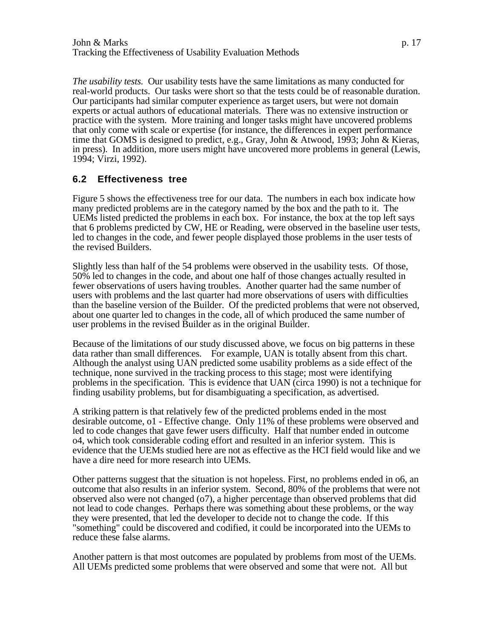*The usability tests.* Our usability tests have the same limitations as many conducted for real-world products. Our tasks were short so that the tests could be of reasonable duration. Our participants had similar computer experience as target users, but were not domain experts or actual authors of educational materials. There was no extensive instruction or practice with the system. More training and longer tasks might have uncovered problems that only come with scale or expertise (for instance, the differences in expert performance time that GOMS is designed to predict, e.g., Gray, John & Atwood, 1993; John & Kieras, in press). In addition, more users might have uncovered more problems in general (Lewis, 1994; Virzi, 1992).

# **6.2 Effectiveness tree**

Figure 5 shows the effectiveness tree for our data. The numbers in each box indicate how many predicted problems are in the category named by the box and the path to it. The UEMs listed predicted the problems in each box. For instance, the box at the top left says that 6 problems predicted by CW, HE or Reading, were observed in the baseline user tests, led to changes in the code, and fewer people displayed those problems in the user tests of the revised Builders.

Slightly less than half of the 54 problems were observed in the usability tests. Of those, 50% led to changes in the code, and about one half of those changes actually resulted in fewer observations of users having troubles. Another quarter had the same number of users with problems and the last quarter had more observations of users with difficulties than the baseline version of the Builder. Of the predicted problems that were not observed, about one quarter led to changes in the code, all of which produced the same number of user problems in the revised Builder as in the original Builder.

Because of the limitations of our study discussed above, we focus on big patterns in these data rather than small differences. For example, UAN is totally absent from this chart. Although the analyst using UAN predicted some usability problems as a side effect of the technique, none survived in the tracking process to this stage; most were identifying problems in the specification. This is evidence that UAN (circa 1990) is not a technique for finding usability problems, but for disambiguating a specification, as advertised.

A striking pattern is that relatively few of the predicted problems ended in the most desirable outcome, o1 - Effective change. Only 11% of these problems were observed and led to code changes that gave fewer users difficulty. Half that number ended in outcome o4, which took considerable coding effort and resulted in an inferior system. This is evidence that the UEMs studied here are not as effective as the HCI field would like and we have a dire need for more research into UEMs.

Other patterns suggest that the situation is not hopeless. First, no problems ended in o6, an outcome that also results in an inferior system. Second, 80% of the problems that were not observed also were not changed (o7), a higher percentage than observed problems that did not lead to code changes. Perhaps there was something about these problems, or the way they were presented, that led the developer to decide not to change the code. If this "something" could be discovered and codified, it could be incorporated into the UEMs to reduce these false alarms.

Another pattern is that most outcomes are populated by problems from most of the UEMs. All UEMs predicted some problems that were observed and some that were not. All but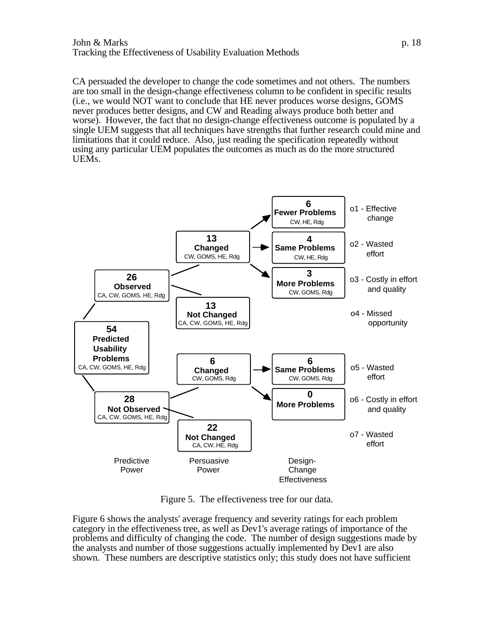#### John & Marks p. 18 Tracking the Effectiveness of Usability Evaluation Methods

CA persuaded the developer to change the code sometimes and not others. The numbers are too small in the design-change effectiveness column to be confident in specific results (i.e., we would NOT want to conclude that HE never produces worse designs, GOMS never produces better designs, and CW and Reading always produce both better and worse). However, the fact that no design-change effectiveness outcome is populated by a single UEM suggests that all techniques have strengths that further research could mine and limitations that it could reduce. Also, just reading the specification repeatedly without using any particular UEM populates the outcomes as much as do the more structured UEMs.



Figure 5. The effectiveness tree for our data.

Figure 6 shows the analysts' average frequency and severity ratings for each problem category in the effectiveness tree, as well as Dev1's average ratings of importance of the problems and difficulty of changing the code. The number of design suggestions made by the analysts and number of those suggestions actually implemented by Dev1 are also shown. These numbers are descriptive statistics only; this study does not have sufficient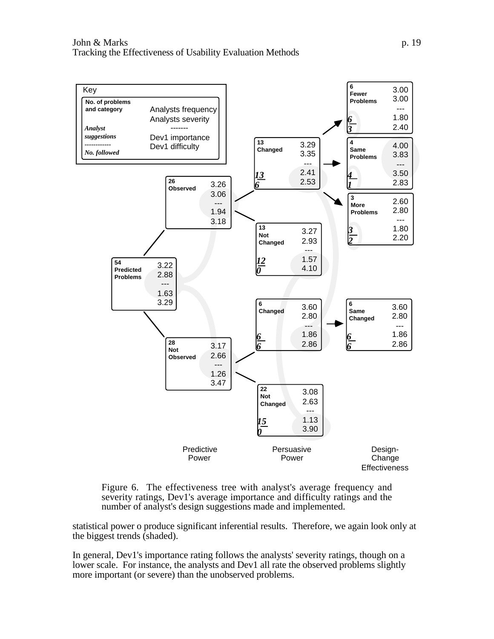



statistical power o produce significant inferential results. Therefore, we again look only at the biggest trends (shaded).

In general, Dev1's importance rating follows the analysts' severity ratings, though on a lower scale. For instance, the analysts and Dev1 all rate the observed problems slightly more important (or severe) than the unobserved problems.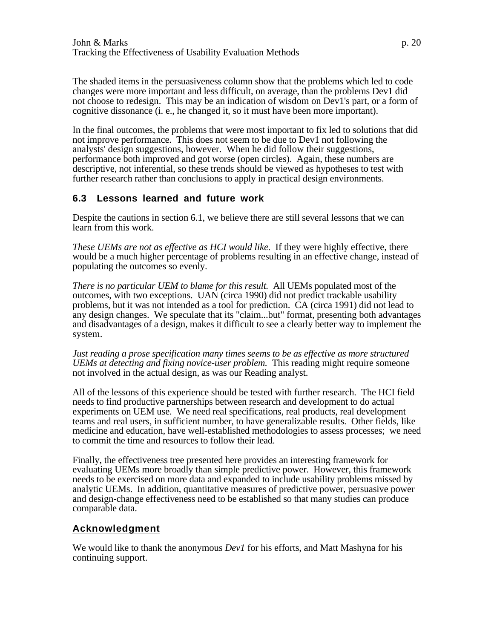The shaded items in the persuasiveness column show that the problems which led to code changes were more important and less difficult, on average, than the problems Dev1 did not choose to redesign. This may be an indication of wisdom on Dev1's part, or a form of cognitive dissonance (i. e., he changed it, so it must have been more important).

In the final outcomes, the problems that were most important to fix led to solutions that did not improve performance. This does not seem to be due to Dev1 not following the analysts' design suggestions, however. When he did follow their suggestions, performance both improved and got worse (open circles). Again, these numbers are descriptive, not inferential, so these trends should be viewed as hypotheses to test with further research rather than conclusions to apply in practical design environments.

#### **6.3 Lessons learned and future work**

Despite the cautions in section 6.1, we believe there are still several lessons that we can learn from this work.

*These UEMs are not as effective as HCI would like.* If they were highly effective, there would be a much higher percentage of problems resulting in an effective change, instead of populating the outcomes so evenly.

*There is no particular UEM to blame for this result.* All UEMs populated most of the outcomes, with two exceptions. UAN (circa 1990) did not predict trackable usability problems, but it was not intended as a tool for prediction. CA (circa 1991) did not lead to any design changes. We speculate that its "claim...but" format, presenting both advantages and disadvantages of a design, makes it difficult to see a clearly better way to implement the system.

*Just reading a prose specification many times seems to be as effective as more structured UEMs at detecting and fixing novice-user problem.* This reading might require someone not involved in the actual design, as was our Reading analyst.

All of the lessons of this experience should be tested with further research. The HCI field needs to find productive partnerships between research and development to do actual experiments on UEM use. We need real specifications, real products, real development teams and real users, in sufficient number, to have generalizable results. Other fields, like medicine and education, have well-established methodologies to assess processes; we need to commit the time and resources to follow their lead.

Finally, the effectiveness tree presented here provides an interesting framework for evaluating UEMs more broadly than simple predictive power. However, this framework needs to be exercised on more data and expanded to include usability problems missed by analytic UEMs. In addition, quantitative measures of predictive power, persuasive power and design-change effectiveness need to be established so that many studies can produce comparable data.

#### **Acknowledgment**

We would like to thank the anonymous *Dev1* for his efforts, and Matt Mashyna for his continuing support.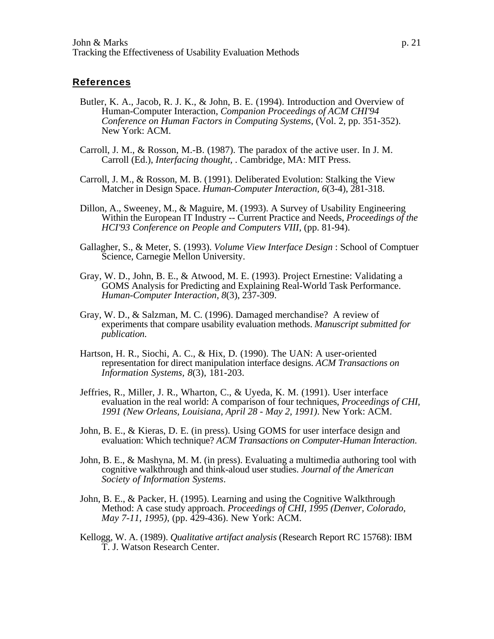#### **References**

- Butler, K. A., Jacob, R. J. K., & John, B. E. (1994). Introduction and Overview of Human-Computer Interaction, *Companion Proceedings of ACM CHI'94 Conference on Human Factors in Computing Systems*, (Vol. 2, pp. 351-352). New York: ACM.
- Carroll, J. M., & Rosson, M.-B. (1987). The paradox of the active user. In J. M. Carroll (Ed.), *Interfacing thought*, . Cambridge, MA: MIT Press.
- Carroll, J. M., & Rosson, M. B. (1991). Deliberated Evolution: Stalking the View Matcher in Design Space. *Human-Computer Interaction, 6*(3-4), 281-318.
- Dillon, A., Sweeney, M., & Maguire, M. (1993). A Survey of Usability Engineering Within the European IT Industry -- Current Practice and Needs, *Proceedings of the HCI'93 Conference on People and Computers VIII*, (pp. 81-94).
- Gallagher, S., & Meter, S. (1993). *Volume View Interface Design* : School of Comptuer Science, Carnegie Mellon University.
- Gray, W. D., John, B. E., & Atwood, M. E. (1993). Project Ernestine: Validating a GOMS Analysis for Predicting and Explaining Real-World Task Performance. *Human-Computer Interaction, 8*(3), 237-309.
- Gray, W. D., & Salzman, M. C. (1996). Damaged merchandise? A review of experiments that compare usability evaluation methods. *Manuscript submitted for publication*.
- Hartson, H. R., Siochi, A. C., & Hix, D. (1990). The UAN: A user-oriented representation for direct manipulation interface designs. *ACM Transactions on Information Systems, 8*(3), 181-203.
- Jeffries, R., Miller, J. R., Wharton, C., & Uyeda, K. M. (1991). User interface evaluation in the real world: A comparison of four techniques, *Proceedings of CHI, 1991 (New Orleans, Louisiana, April 28 - May 2, 1991)*. New York: ACM.
- John, B. E., & Kieras, D. E. (in press). Using GOMS for user interface design and evaluation: Which technique? *ACM Transactions on Computer-Human Interaction*.
- John, B. E., & Mashyna, M. M. (in press). Evaluating a multimedia authoring tool with cognitive walkthrough and think-aloud user studies. *Journal of the American Society of Information Systems*.
- John, B. E., & Packer, H. (1995). Learning and using the Cognitive Walkthrough Method: A case study approach. *Proceedings of CHI, 1995 (Denver, Colorado, May 7-11, 1995)*, (pp. 429-436). New York: ACM.
- Kellogg, W. A. (1989). *Qualitative artifact analysis* (Research Report RC 15768): IBM T. J. Watson Research Center.